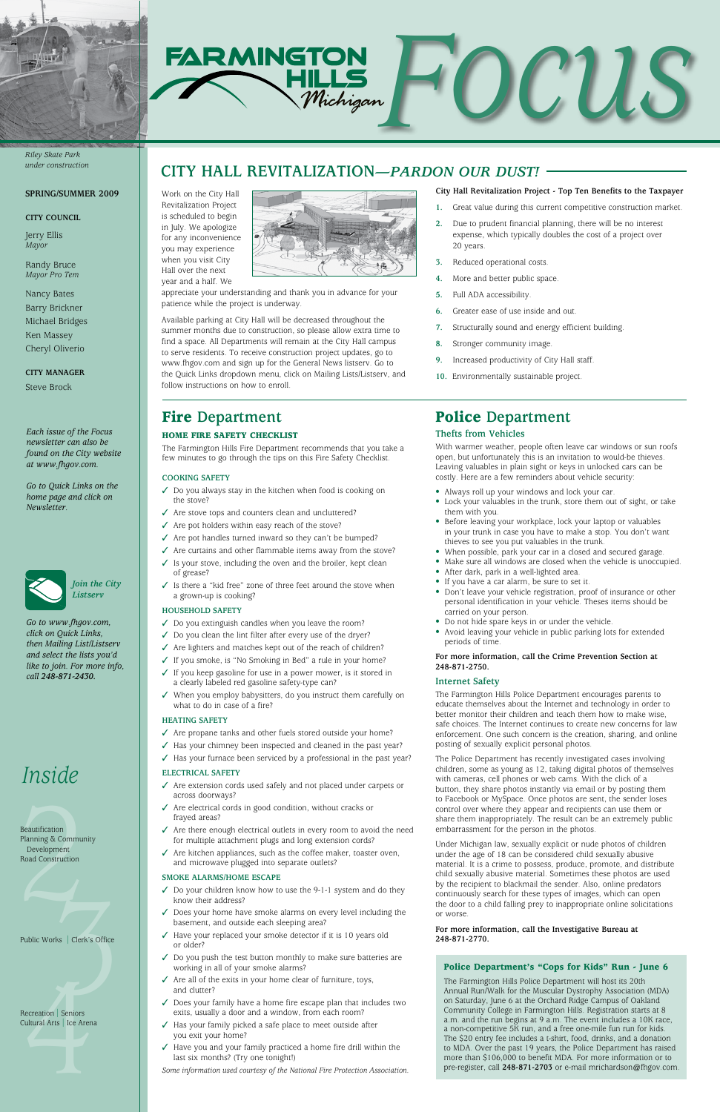







Beautification<br>Planning & Communi<br>Development<br>Road Construction Beautification Planning & Community Development Road Construction

#### **SPRING/SUMMER 2009**

#### **CITY COUNCIL**

Jerry Ellis *Mayor*

Randy Bruce *Mayor Pro Tem*

Nancy Bates Barry Brickner Michael Bridges Ken Massey Cheryl Oliverio

**City manager** Steve Brock

## Fire **Department**

## Home Fire Safety Checklist

The Farmington Hills Fire Department recommends that you take a few minutes to go through the tips on this Fire Safety Checklist.

#### **COOKING SAFETY**

- $\checkmark$  Do you always stay in the kitchen when food is cooking on the stove?
- $\checkmark$  Are stove tops and counters clean and uncluttered?
- $\checkmark$  Are pot holders within easy reach of the stove?
- $\checkmark$  Are pot handles turned inward so they can't be bumped?
- $\checkmark$  Are curtains and other flammable items away from the stove?
- $\checkmark$  Is your stove, including the oven and the broiler, kept clean of grease?
- $\checkmark$  Is there a "kid free" zone of three feet around the stove when a grown-up is cooking?

- $\checkmark$  Do you extinguish candles when you leave the room?
- $\checkmark$  Do you clean the lint filter after every use of the dryer?
- $\checkmark$  Are lighters and matches kept out of the reach of children?
- √ If you smoke, is "No Smoking in Bed" a rule in your home?
- $\checkmark$  If you keep gasoline for use in a power mower, is it stored in a clearly labeled red gasoline safety-type can?
- $\checkmark$  When you employ babysitters, do you instruct them carefully on what to do in case of a fire?

- $\checkmark$  Are extension cords used safely and not placed under carpets or across doorways?
- $\checkmark$  Are electrical cords in good condition, without cracks or frayed areas?

## **HOUSEHOLD SAFETY**

- $\checkmark$  Are there enough electrical outlets in every room to avoid the need for multiple attachment plugs and long extension cords?
- $\checkmark$  Are kitchen appliances, such as the coffee maker, toaster oven, and microwave plugged into separate outlets?

- $\checkmark$  Do your children know how to use the 9-1-1 system and do they know their address?
- Does your home have smoke alarms on every level including the basement, and outside each sleeping area?
- Public Works | Clerk's Office **248-871-2770.**<br>
248-871-2770. or older?
	- $\checkmark$  Do you push the test button monthly to make sure batteries are working in all of your smoke alarms?
	- $\checkmark$  Are all of the exits in your home clear of furniture, toys, and clutter?
	- $\checkmark$  Does your family have a home fire escape plan that includes two exits, usually a door and a window, from each room?
	- $\checkmark$  Has your family picked a safe place to meet outside after you exit your home?
	- $\checkmark$  Have you and your family practiced a home fire drill within the last six months? (Try one tonight!)

#### **HEATING SAFETY**

- $\checkmark$  Are propane tanks and other fuels stored outside your home?
- $\checkmark$  Has your chimney been inspected and cleaned in the past year?
- $\checkmark$  Has your furnace been serviced by a professional in the past year?

## **ELECTRICAL SAFETY**

#### **SMOKE ALARMS/HOME ESCAPE**

3 4 Recreation | Seniors Cultural Arts | Ice Arena

*Some information used courtesy of the National Fire Protection Association.*

# Police **Department Thefts from Vehicles**

With warmer weather, people often leave car windows or sun roofs open, but unfortunately this is an invitation to would-be thieves. Leaving valuables in plain sight or keys in unlocked cars can be costly. Here are a few reminders about vehicle security:

- Always roll up your windows and lock your car.
- Lock your valuables in the trunk, store them out of sight, or take them with you.
- Before leaving your workplace, lock your laptop or valuables in your trunk in case you have to make a stop. You don't want thieves to see you put valuables in the trunk.
- When possible, park your car in a closed and secured garage.
- Make sure all windows are closed when the vehicle is unoccupied.
- After dark, park in a well-lighted area.
- If you have a car alarm, be sure to set it.
- Don't leave your vehicle registration, proof of insurance or other personal identification in your vehicle. Theses items should be carried on your person.
- Do not hide spare keys in or under the vehicle.
- Avoid leaving your vehicle in public parking lots for extended periods of time.

#### **For more information, call the Crime Prevention Section at 248-871-2750.**

## **Internet Safety**

The Farmington Hills Police Department encourages parents to educate themselves about the Internet and technology in order to better monitor their children and teach them how to make wise, safe choices. The Internet continues to create new concerns for law enforcement. One such concern is the creation, sharing, and online posting of sexually explicit personal photos.

The Police Department has recently investigated cases involving children, some as young as 12, taking digital photos of themselves with cameras, cell phones or web cams. With the click of a button, they share photos instantly via email or by posting them to Facebook or MySpace. Once photos are sent, the sender loses control over where they appear and recipients can use them or share them inappropriately. The result can be an extremely public embarrassment for the person in the photos.

Under Michigan law, sexually explicit or nude photos of children under the age of 18 can be considered child sexually abusive material. It is a crime to possess, produce, promote, and distribute child sexually abusive material. Sometimes these photos are used by the recipient to blackmail the sender. Also, online predators continuously search for these types of images, which can open the door to a child falling prey to inappropriate online solicitations or worse.

## **For more information, call the Investigative Bureau at**

*Each issue of the Focus newsletter can also be found on the City website at www.fhgov.com.* 

*Go to Quick Links on the home page and click on Newsletter.*



*Go to www.fhgov.com, click on Quick Links, then Mailing List/Listserv and select the lists you'd like to join. For more info, call 248-871-2430.*

#### Work on the City Hall Revitalization Project is scheduled to begin in July. We apologize for any inconvenience you may experience when you visit City Hall over the next year and a half. We



appreciate your understanding and thank you in advance for your patience while the project is underway.

Available parking at City Hall will be decreased throughout the summer months due to construction, so please allow extra time to find a space. All Departments will remain at the City Hall campus to serve residents. To receive construction project updates, go to www.fhgov.com and sign up for the General News listserv. Go to the Quick Links dropdown menu, click on Mailing Lists/Listserv, and follow instructions on how to enroll.

## **CITY HALL REVITALIZATION***—PARDON OUR DUST!*

## **City Hall Revitalization Project - Top Ten Benefits to the Taxpayer**

- **1.** Great value during this current competitive construction market.
- **2.** Due to prudent financial planning, there will be no interest expense, which typically doubles the cost of a project over 20 years.
- **3.** Reduced operational costs.
- **4.** More and better public space.
- **5.** Full ADA accessibility.
- **6.** Greater ease of use inside and out.
- **7.** Structurally sound and energy efficient building.
- **8.** Stronger community image.
- **9.** Increased productivity of City Hall staff.
- **10.** Environmentally sustainable project.

#### Police Department's "Cops for Kids" Run - June 6

The Farmington Hills Police Department will host its 20th Annual Run/Walk for the Muscular Dystrophy Association (MDA) on Saturday, June 6 at the Orchard Ridge Campus of Oakland Community College in Farmington Hills. Registration starts at 8 a.m. and the run begins at 9 a.m. The event includes a 10K race, a non-competitive 5K run, and a free one-mile fun run for kids. The \$20 entry fee includes a t-shirt, food, drinks, and a donation to MDA. Over the past 19 years, the Police Department has raised more than \$106,000 to benefit MDA. For more information or to pre-register, call **248-871-2703** or e-mail mrichardson@fhgov.com.

#### *Riley Skate Park under construction*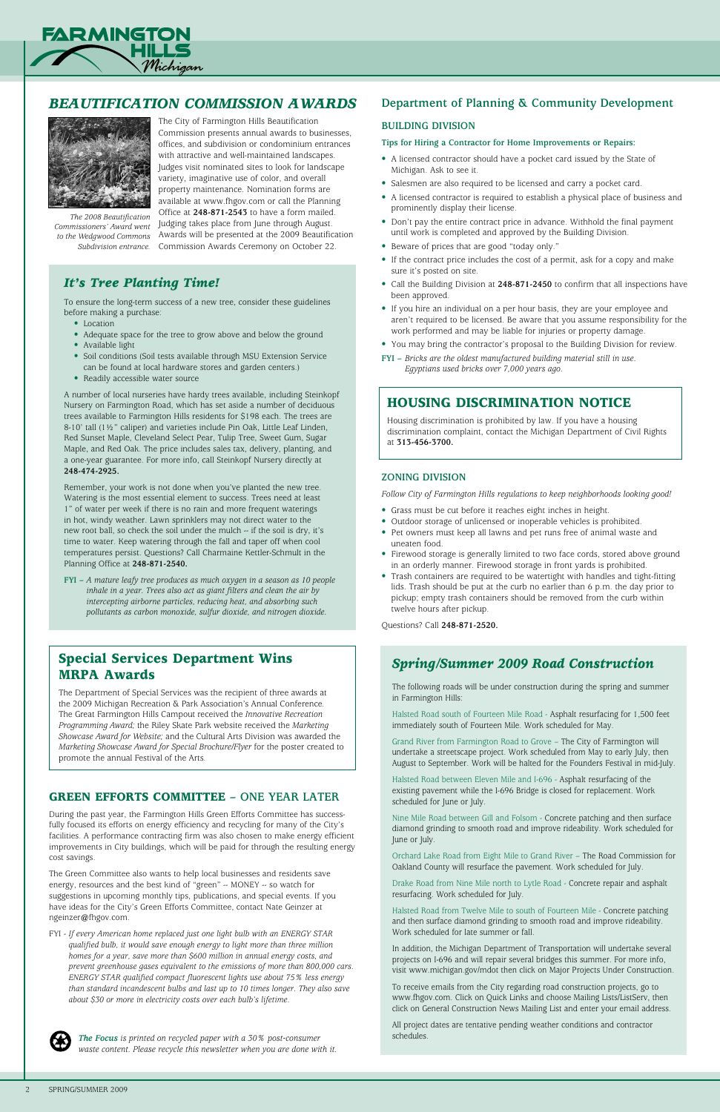## *It's Tree Planting Time!*

To ensure the long-term success of a new tree, consider these guidelines before making a purchase:

- Location
- Adequate space for the tree to grow above and below the ground
- Available light
- Soil conditions (Soil tests available through MSU Extension Service can be found at local hardware stores and garden centers.)
- Readily accessible water source

A number of local nurseries have hardy trees available, including Steinkopf Nursery on Farmington Road, which has set aside a number of deciduous trees available to Farmington Hills residents for \$198 each. The trees are 8-10' tall (1½" caliper) and varieties include Pin Oak, Little Leaf Linden, Red Sunset Maple, Cleveland Select Pear, Tulip Tree, Sweet Gum, Sugar Maple, and Red Oak. The price includes sales tax, delivery, planting, and a one-year guarantee. For more info, call Steinkopf Nursery directly at **248-474-2925.**

Remember, your work is not done when you've planted the new tree. Watering is the most essential element to success. Trees need at least 1" of water per week if there is no rain and more frequent waterings in hot, windy weather. Lawn sprinklers may not direct water to the new root ball, so check the soil under the mulch -- if the soil is dry, it's time to water. Keep watering through the fall and taper off when cool temperatures persist. Questions? Call Charmaine Kettler-Schmult in the Planning Office at **248-871-2540.** 

**FYI –** *A mature leafy tree produces as much oxygen in a season as 10 people inhale in a year. Trees also act as giant filters and clean the air by intercepting airborne particles, reducing heat, and absorbing such pollutants as carbon monoxide, sulfur dioxide, and nitrogen dioxide.* 



## *Beautification Commission Awards*



The City of Farmington Hills Beautification Commission presents annual awards to businesses, offices, and subdivision or condominium entrances with attractive and well-maintained landscapes. Judges visit nominated sites to look for landscape variety, imaginative use of color, and overall property maintenance. Nomination forms are available at www.fhgov.com or call the Planning Office at **248-871-2543** to have a form mailed. Judging takes place from June through August. to the Wedgwood Commons Awards will be presented at the 2009 Beautification <sub>.</sub> Subdivision entrance. Commission Awards Ceremony on October 22.

*The Focus is printed on recycled paper with a 30% post-consumer waste content. Please recycle this newsletter when you are done with it.*

## Special Services Department Wins MRPA Awards

The Department of Special Services was the recipient of three awards at the 2009 Michigan Recreation & Park Association's Annual Conference. The Great Farmington Hills Campout received the *Innovative Recreation Programming Award;* the Riley Skate Park website received the *Marketing Showcase Award for Website;* and the Cultural Arts Division was awarded the *Marketing Showcase Award for Special Brochure/Flyer* for the poster created to promote the annual Festival of the Arts.

*The 2008 Beautification Commissioners' Award went* 

## *Spring/Summer 2009 Road Construction*

The following roads will be under construction during the spring and summer in Farmington Hills:

Halsted Road south of Fourteen Mile Road - Asphalt resurfacing for 1,500 feet immediately south of Fourteen Mile. Work scheduled for May.

Grand River from Farmington Road to Grove – The City of Farmington will undertake a streetscape project. Work scheduled from May to early July, then August to September. Work will be halted for the Founders Festival in mid-July.

Halsted Road between Eleven Mile and I-696 - Asphalt resurfacing of the existing pavement while the I-696 Bridge is closed for replacement. Work scheduled for June or July.

Nine Mile Road between Gill and Folsom - Concrete patching and then surface diamond grinding to smooth road and improve rideability. Work scheduled for June or July.

Orchard Lake Road from Eight Mile to Grand River – The Road Commission for Oakland County will resurface the pavement. Work scheduled for July.

Drake Road from Nine Mile north to Lytle Road - Concrete repair and asphalt resurfacing. Work scheduled for July.

Halsted Road from Twelve Mile to south of Fourteen Mile - Concrete patching and then surface diamond grinding to smooth road and improve rideability. Work scheduled for late summer or fall.

In addition, the Michigan Department of Transportation will undertake several projects on I-696 and will repair several bridges this summer. For more info, visit www.michigan.gov/mdot then click on Major Projects Under Construction.

To receive emails from the City regarding road construction projects, go to www.fhgov.com. Click on Quick Links and choose Mailing Lists/ListServ, then click on General Construction News Mailing List and enter your email address.

All project dates are tentative pending weather conditions and contractor schedules.

## Housing discrimination notice

Housing discrimination is prohibited by law. If you have a housing discrimination complaint, contact the Michigan Department of Civil Rights at **313-456-3700.**

## **Building Division**

#### **Tips for Hiring a Contractor for Home Improvements or Repairs:**

- A licensed contractor should have a pocket card issued by the State of Michigan. Ask to see it.
- Salesmen are also required to be licensed and carry a pocket card.
- A licensed contractor is required to establish a physical place of business and prominently display their license.
- Don't pay the entire contract price in advance. Withhold the final payment until work is completed and approved by the Building Division.
- Beware of prices that are good "today only."
- If the contract price includes the cost of a permit, ask for a copy and make sure it's posted on site.
- Call the Building Division at **248-871-2450** to confirm that all inspections have been approved.
- If you hire an individual on a per hour basis, they are your employee and aren't required to be licensed. Be aware that you assume responsibility for the work performed and may be liable for injuries or property damage.
- You may bring the contractor's proposal to the Building Division for review.
- **FYI** *Bricks are the oldest manufactured building material still in use. Egyptians used bricks over 7,000 years ago.*

## **Zoning Division**

*Follow City of Farmington Hills regulations to keep neighborhoods looking good!*

- Grass must be cut before it reaches eight inches in height.
- Outdoor storage of unlicensed or inoperable vehicles is prohibited.
- Pet owners must keep all lawns and pet runs free of animal waste and uneaten food.
- Firewood storage is generally limited to two face cords, stored above ground in an orderly manner. Firewood storage in front yards is prohibited.
- Trash containers are required to be watertight with handles and tight-fitting lids. Trash should be put at the curb no earlier than 6 p.m. the day prior to pickup; empty trash containers should be removed from the curb within twelve hours after pickup.

Questions? Call **248-871-2520.**

## **Department of Planning & Community Development**

## Green Efforts Committee **– One Year Later**

During the past year, the Farmington Hills Green Efforts Committee has success-

fully focused its efforts on energy efficiency and recycling for many of the City's facilities. A performance contracting firm was also chosen to make energy efficient improvements in City buildings, which will be paid for through the resulting energy cost savings.

The Green Committee also wants to help local businesses and residents save energy, resources and the best kind of "green" -- MONEY -- so watch for suggestions in upcoming monthly tips, publications, and special events. If you have ideas for the City's Green Efforts Committee, contact Nate Geinzer at ngeinzer@fhgov.com.

FYI - *If every American home replaced just one light bulb with an ENERGY STAR qualified bulb, it would save enough energy to light more than three million homes for a year, save more than \$600 million in annual energy costs, and prevent greenhouse gases equivalent to the emissions of more than 800,000 cars. ENERGY STAR qualified compact fluorescent lights use about 75% less energy than standard incandescent bulbs and last up to 10 times longer. They also save about \$30 or more in electricity costs over each bulb's lifetime.* 

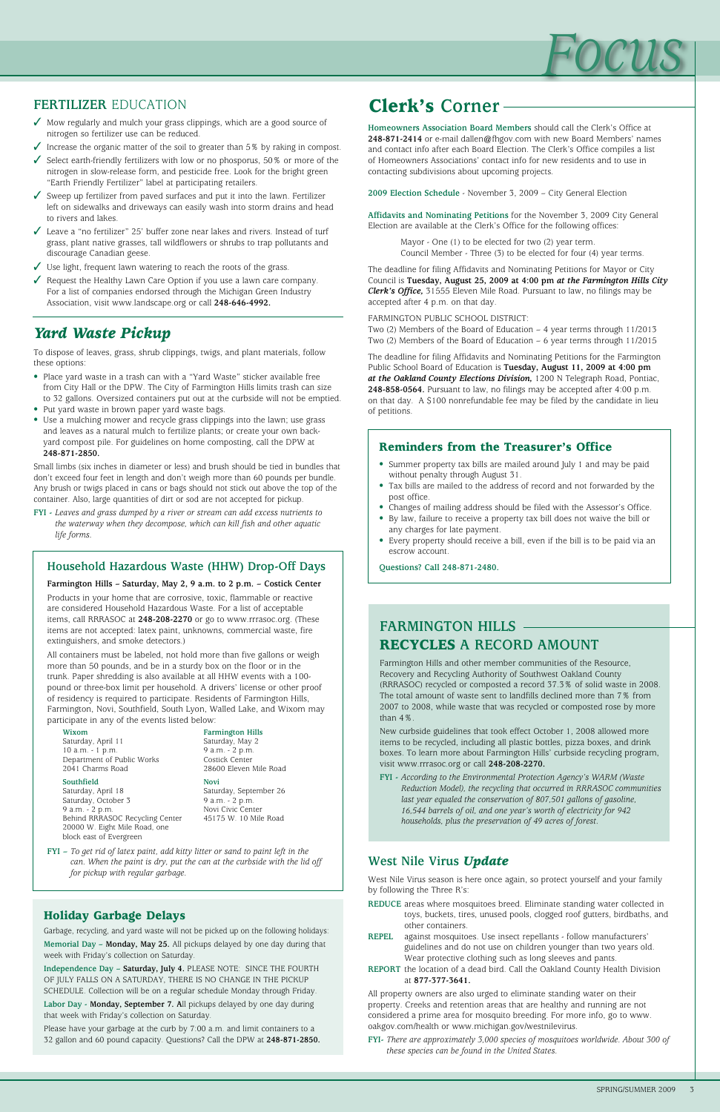## **Farmington Hills** Recycles **a Record Amount**

Farmington Hills and other member communities of the Resource, Recovery and Recycling Authority of Southwest Oakland County (RRRASOC) recycled or composted a record 37.3% of solid waste in 2008. The total amount of waste sent to landfills declined more than 7% from 2007 to 2008, while waste that was recycled or composted rose by more than 4%.

New curbside guidelines that took effect October 1, 2008 allowed more items to be recycled, including all plastic bottles, pizza boxes, and drink boxes. To learn more about Farmington Hills' curbside recycling program, visit www.rrrasoc.org or call **248-208-2270.**

**FYI -** *According to the Environmental Protection Agency's WARM (Waste Reduction Model), the recycling that occurred in RRRASOC communities last year equaled the conservation of 807,501 gallons of gasoline, 16,544 barrels of oil, and one year's worth of electricity for 942* 

*households, plus the preservation of 49 acres of forest.*



## **FERTILIZER EDUCATION Clerk's Corner**

**Homeowners Association Board Members** should call the Clerk's Office at **248-871-2414** or e-mail dallen@fhgov.com with new Board Members' names and contact info after each Board Election. The Clerk's Office compiles a list of Homeowners Associations' contact info for new residents and to use in contacting subdivisions about upcoming projects.

**2009 Election Schedule** - November 3, 2009 – City General Election

**Affidavits and Nominating Petitions** for the November 3, 2009 City General Election are available at the Clerk's Office for the following offices:

> Mayor - One (1) to be elected for two (2) year term. Council Member - Three (3) to be elected for four (4) year terms.

The deadline for filing Affidavits and Nominating Petitions for Mayor or City Council is **Tuesday, August 25, 2009 at 4:00 pm** *at the Farmington Hills City Clerk's Office,* 31555 Eleven Mile Road. Pursuant to law, no filings may be accepted after 4 p.m. on that day.

- $\checkmark$  Mow regularly and mulch your grass clippings, which are a good source of nitrogen so fertilizer use can be reduced.
- $\checkmark$  Increase the organic matter of the soil to greater than 5% by raking in compost.
- $\checkmark$  Select earth-friendly fertilizers with low or no phosporus, 50% or more of the nitrogen in slow-release form, and pesticide free. Look for the bright green "Earth Friendly Fertilizer" label at participating retailers.
- $\checkmark$  Sweep up fertilizer from paved surfaces and put it into the lawn. Fertilizer left on sidewalks and driveways can easily wash into storm drains and head to rivers and lakes.
- $\checkmark$  Leave a "no fertilizer" 25' buffer zone near lakes and rivers. Instead of turf grass, plant native grasses, tall wildflowers or shrubs to trap pollutants and discourage Canadian geese.
- $\checkmark$  Use light, frequent lawn watering to reach the roots of the grass.
- $\sqrt{\ }$  Request the Healthy Lawn Care Option if you use a lawn care company. For a list of companies endorsed through the Michigan Green Industry Association, visit www.landscape.org or call **248-646-4992.**

FARMINGTON PUBLIC SCHOOL DISTRICT:

Two (2) Members of the Board of Education – 4 year terms through 11/2013 Two (2) Members of the Board of Education – 6 year terms through 11/2015

The deadline for filing Affidavits and Nominating Petitions for the Farmington Public School Board of Education is **Tuesday, August 11, 2009 at 4:00 pm**  *at the Oakland County Elections Division,* 1200 N Telegraph Road, Pontiac, **248-858-0564.** Pursuant to law, no filings may be accepted after 4:00 p.m. on that day. A \$100 nonrefundable fee may be filed by the candidate in lieu of petitions.

## *Yard Waste Pickup*

To dispose of leaves, grass, shrub clippings, twigs, and plant materials, follow these options:

- Place yard waste in a trash can with a "Yard Waste" sticker available free from City Hall or the DPW. The City of Farmington Hills limits trash can size to 32 gallons. Oversized containers put out at the curbside will not be emptied.
- Put yard waste in brown paper yard waste bags.
- Use a mulching mower and recycle grass clippings into the lawn; use grass and leaves as a natural mulch to fertilize plants; or create your own backyard compost pile. For guidelines on home composting, call the DPW at **248-871-2850.**

Small limbs (six inches in diameter or less) and brush should be tied in bundles that don't exceed four feet in length and don't weigh more than 60 pounds per bundle. Any brush or twigs placed in cans or bags should not stick out above the top of the container. Also, large quantities of dirt or sod are not accepted for pickup.

**FYI -** *Leaves and grass dumped by a river or stream can add excess nutrients to the waterway when they decompose, which can kill fish and other aquatic life forms.*

## Household Hazardous Waste (HHW) Drop-Off Days  $\vert$  | Questions? Call 248-871-2480.

## Reminders from the Treasurer's Office

- Summer property tax bills are mailed around July 1 and may be paid without penalty through August 31.
- Tax bills are mailed to the address of record and not forwarded by the post office.
- Changes of mailing address should be filed with the Assessor's Office.
- By law, failure to receive a property tax bill does not waive the bill or any charges for late payment.
- Every property should receive a bill, even if the bill is to be paid via an escrow account.

#### **Farmington Hills – Saturday, May 2, 9 a.m. to 2 p.m. – Costick Center**

Products in your home that are corrosive, toxic, flammable or reactive are considered Household Hazardous Waste. For a list of acceptable items, call RRRASOC at **248-208-2270** or go to www.rrrasoc.org. (These items are not accepted: latex paint, unknowns, commercial waste, fire extinguishers, and smoke detectors.)

All containers must be labeled, not hold more than five gallons or weigh more than 50 pounds, and be in a sturdy box on the floor or in the trunk. Paper shredding is also available at all HHW events with a 100 pound or three-box limit per household. A drivers' license or other proof of residency is required to participate. Residents of Farmington Hills, Farmington, Novi, Southfield, South Lyon, Walled Lake, and Wixom may participate in any of the events listed below:

**FYI –** *To get rid of latex paint, add kitty litter or sand to paint left in the can. When the paint is dry, put the can at the curbside with the lid off for pickup with regular garbage.*

**Wixom**

Saturday, April 11 10 a.m. - 1 p.m. Department of Public Works 2041 Charms Road

**Southfield**

Saturday, April 18 Saturday, October 3 9 a.m. - 2 p.m.

Behind RRRASOC Recycling Center 20000 W. Eight Mile Road, one block east of Evergreen 45175 W. 10 Mile Road

**Farmington Hills** Saturday, May 2 9 a.m. - 2 p.m. Costick Center 28600 Eleven Mile Road

**Novi** Saturday, September 26

9 a.m. - 2 p.m. Novi Civic Center

## Holiday Garbage Delays

Garbage, recycling, and yard waste will not be picked up on the following holidays:

**Memorial Day – Monday, May 25.** All pickups delayed by one day during that week with Friday's collection on Saturday.

**Independence Day – Saturday, July 4.** PLEASE NOTE: SINCE THE FOURTH OF JULY FALLS ON A SATURDAY, THERE IS NO CHANGE IN THE PICKUP SCHEDULE. Collection will be on a regular schedule Monday through Friday.

**Labor Day - Monday, September 7. A**ll pickups delayed by one day during that week with Friday's collection on Saturday.

Please have your garbage at the curb by 7:00 a.m. and limit containers to a 32 gallon and 60 pound capacity. Questions? Call the DPW at **248-871-2850.**

## **West Nile Virus** *Update*

West Nile Virus season is here once again, so protect yourself and your family by following the Three R's:

- **REDUCE** areas where mosquitoes breed. Eliminate standing water collected in toys, buckets, tires, unused pools, clogged roof gutters, birdbaths, and other containers.
- **REPEL** against mosquitoes. Use insect repellants follow manufacturers' guidelines and do not use on children younger than two years old. Wear protective clothing such as long sleeves and pants.
- **REPORT** the location of a dead bird. Call the Oakland County Health Division at **877-377-3641.**

All property owners are also urged to eliminate standing water on their property. Creeks and retention areas that are healthy and running are not considered a prime area for mosquito breeding. For more info, go to www. oakgov.com/health or www.michigan.gov/westnilevirus.

**FYI-** *There are approximately 3,000 species of mosquitoes worldwide. About 300 of these species can be found in the United States.*